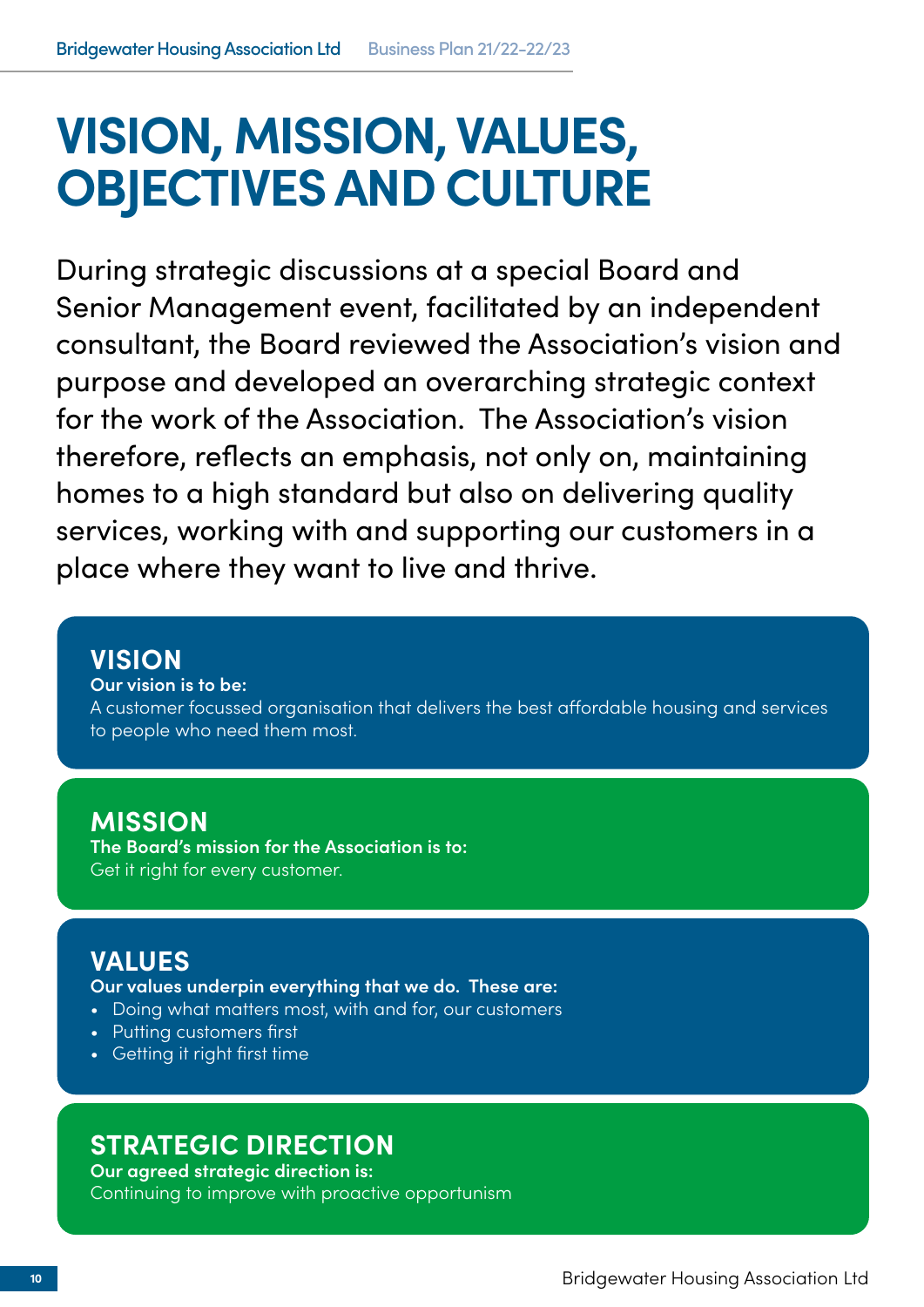# **VISION, MISSION, VALUES, OBJECTIVES AND CULTURE**

During strategic discussions at a special Board and Senior Management event, facilitated by an independent consultant, the Board reviewed the Association's vision and purpose and developed an overarching strategic context for the work of the Association. The Association's vision therefore, reflects an emphasis, not only on, maintaining homes to a high standard but also on delivering quality services, working with and supporting our customers in a place where they want to live and thrive.

# **VISION**

**Our vision is to be:**

A customer focussed organisation that delivers the best affordable housing and services to people who need them most.

# **MISSION**

**The Board's mission for the Association is to:** Get it right for every customer.

# **VALUES**

**Our values underpin everything that we do. These are:**

- Doing what matters most, with and for, our customers
- Putting customers first
- Getting it right first time

# **STRATEGIC DIRECTION**

**Our agreed strategic direction is:** Continuing to improve with proactive opportunism